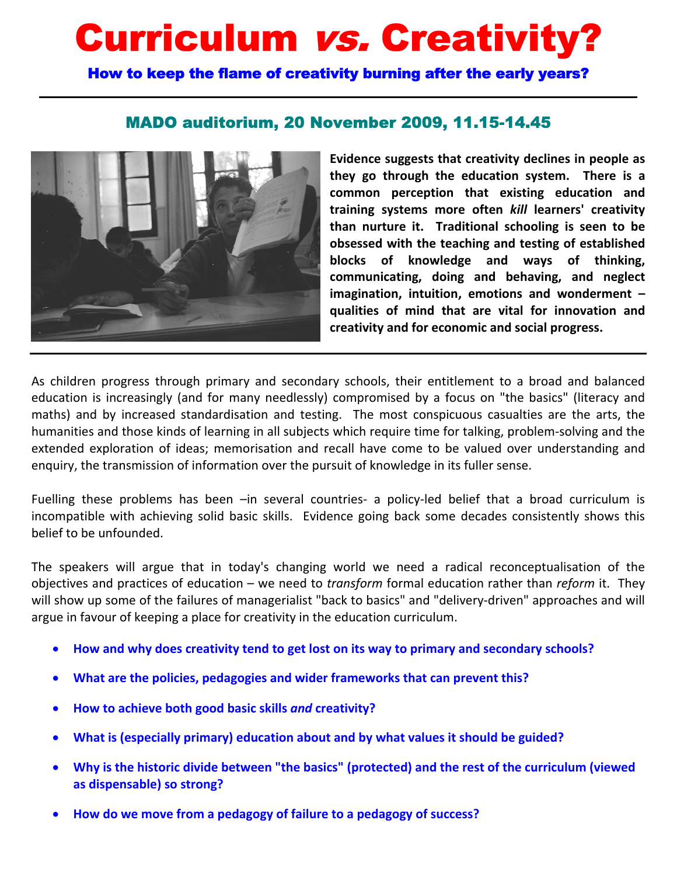# Curriculum vs. Creativity?

How to keep the flame of creativity burning after the early years?

# MADO auditorium, 20 November 2009, 11.15-14.45



**Evidence suggests that creativity declines in people as they go through the education system. There is a common perception that existing education and training systems more often** *kill* **learners' creativity than nurture it. Traditional schooling is seen to be obsessed with the teaching and testing of established blocks of knowledge and ways of thinking, communicating, doing and behaving, and neglect imagination, intuition, emotions and wonderment – qualities of mind that are vital for innovation and creativity and for economic and social progress.** 

As children progress through primary and secondary schools, their entitlement to a broad and balanced education is increasingly (and for many needlessly) compromised by a focus on "the basics" (literacy and maths) and by increased standardisation and testing. The most conspicuous casualties are the arts, the humanities and those kinds of learning in all subjects which require time for talking, problem-solving and the extended exploration of ideas; memorisation and recall have come to be valued over understanding and enquiry, the transmission of information over the pursuit of knowledge in its fuller sense.

Fuelling these problems has been -in several countries- a policy-led belief that a broad curriculum is incompatible with achieving solid basic skills. Evidence going back some decades consistently shows this belief to be unfounded.

The speakers will argue that in today's changing world we need a radical reconceptualisation of the objectives and practices of education – we need to *transform* formal education rather than *reform* it. They will show up some of the failures of managerialist "back to basics" and "delivery-driven" approaches and will argue in favour of keeping a place for creativity in the education curriculum.

- **How and why does creativity tend to get lost on its way to primary and secondary schools?**
- **What are the policies, pedagogies and wider frameworks that can prevent this?**
- **How to achieve both good basic skills** *and* **creativity?**
- **What is (especially primary) education about and by what values it should be guided?**
- **Why is the historic divide between "the basics" (protected) and the rest of the curriculum (viewed as dispensable) so strong?**
- **How do we move from a pedagogy of failure to a pedagogy of success?**